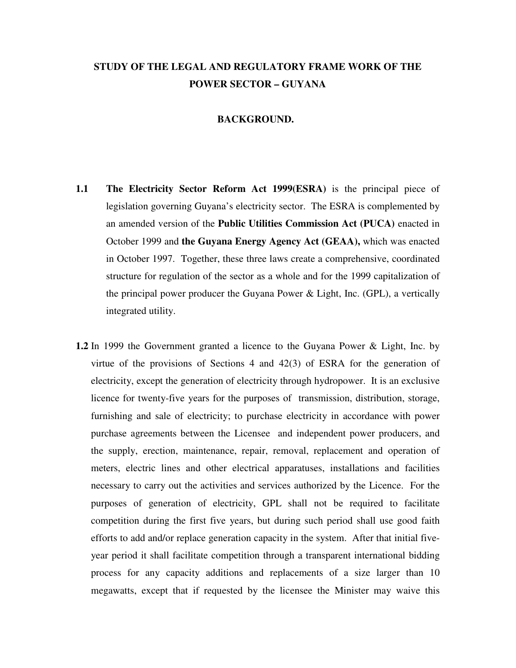# **STUDY OF THE LEGAL AND REGULATORY FRAME WORK OF THE POWER SECTOR – GUYANA**

#### **BACKGROUND.**

- **1.1 The Electricity Sector Reform Act 1999(ESRA)** is the principal piece of legislation governing Guyana's electricity sector. The ESRA is complemented by an amended version of the **Public Utilities Commission Act (PUCA)** enacted in October 1999 and **the Guyana Energy Agency Act (GEAA),** which was enacted in October 1997. Together, these three laws create a comprehensive, coordinated structure for regulation of the sector as a whole and for the 1999 capitalization of the principal power producer the Guyana Power & Light, Inc. (GPL), a vertically integrated utility.
- **1.2** In 1999 the Government granted a licence to the Guyana Power & Light, Inc. by virtue of the provisions of Sections 4 and  $42(3)$  of ESRA for the generation of electricity, except the generation of electricity through hydropower. It is an exclusive licence for twenty-five years for the purposes of transmission, distribution, storage, furnishing and sale of electricity; to purchase electricity in accordance with power purchase agreements between the Licensee and independent power producers, and the supply, erection, maintenance, repair, removal, replacement and operation of meters, electric lines and other electrical apparatuses, installations and facilities necessary to carry out the activities and services authorized by the Licence. For the purposes of generation of electricity, GPL shall not be required to facilitate competition during the first five years, but during such period shall use good faith efforts to add and/or replace generation capacity in the system. After that initial fiveyear period it shall facilitate competition through a transparent international bidding process for any capacity additions and replacements of a size larger than 10 megawatts, except that if requested by the licensee the Minister may waive this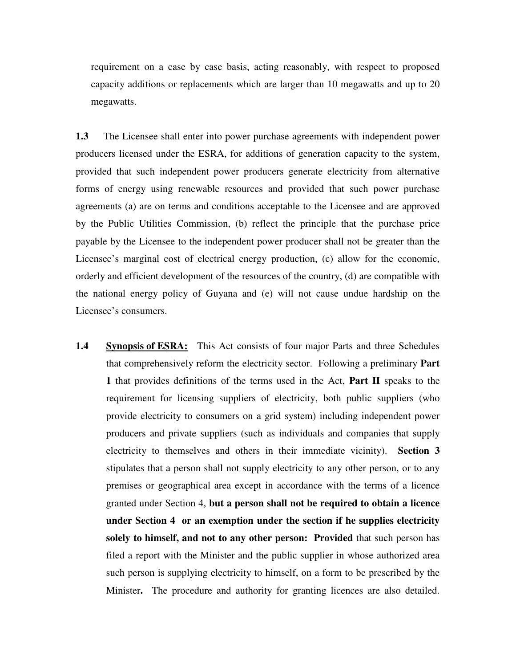requirement on a case by case basis, acting reasonably, with respect to proposed capacity additions or replacements which are larger than 10 megawatts and up to 20 megawatts.

**1.3** The Licensee shall enter into power purchase agreements with independent power producers licensed under the ESRA, for additions of generation capacity to the system, provided that such independent power producers generate electricity from alternative forms of energy using renewable resources and provided that such power purchase agreements (a) are on terms and conditions acceptable to the Licensee and are approved by the Public Utilities Commission, (b) reflect the principle that the purchase price payable by the Licensee to the independent power producer shall not be greater than the Licensee's marginal cost of electrical energy production, (c) allow for the economic, orderly and efficient development of the resources of the country, (d) are compatible with the national energy policy of Guyana and (e) will not cause undue hardship on the Licensee's consumers.

**1.4 Synopsis of ESRA:** This Act consists of four major Parts and three Schedules that comprehensively reform the electricity sector. Following a preliminary **Part 1** that provides definitions of the terms used in the Act, **Part II** speaks to the requirement for licensing suppliers of electricity, both public suppliers (who provide electricity to consumers on a grid system) including independent power producers and private suppliers (such as individuals and companies that supply electricity to themselves and others in their immediate vicinity). **Section 3** stipulates that a person shall not supply electricity to any other person, or to any premises or geographical area except in accordance with the terms of a licence granted under Section 4, **but a person shall not be required to obtain a licence under Section 4 or an exemption under the section if he supplies electricity solely to himself, and not to any other person: Provided** that such person has filed a report with the Minister and the public supplier in whose authorized area such person is supplying electricity to himself, on a form to be prescribed by the Minister**.** The procedure and authority for granting licences are also detailed.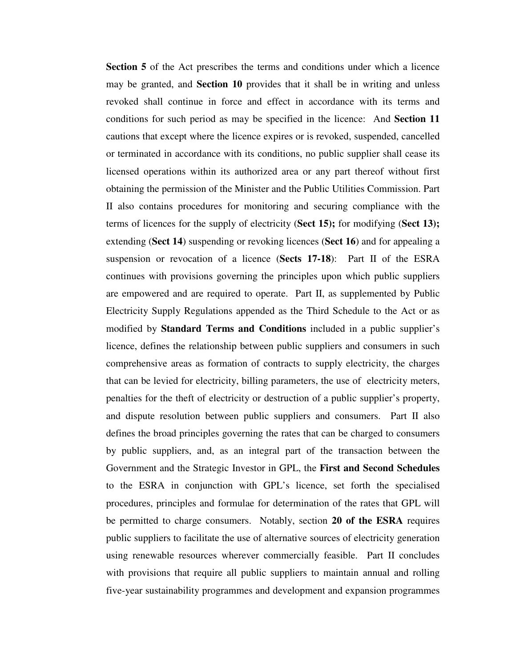**Section 5** of the Act prescribes the terms and conditions under which a licence may be granted, and **Section 10** provides that it shall be in writing and unless revoked shall continue in force and effect in accordance with its terms and conditions for such period as may be specified in the licence: And **Section 11**  cautions that except where the licence expires or is revoked, suspended, cancelled or terminated in accordance with its conditions, no public supplier shall cease its licensed operations within its authorized area or any part thereof without first obtaining the permission of the Minister and the Public Utilities Commission. Part II also contains procedures for monitoring and securing compliance with the terms of licences for the supply of electricity (**Sect 15);** for modifying (**Sect 13);** extending (**Sect 14**) suspending or revoking licences (**Sect 16**) and for appealing a suspension or revocation of a licence (**Sects 17-18**): Part II of the ESRA continues with provisions governing the principles upon which public suppliers are empowered and are required to operate. Part II, as supplemented by Public Electricity Supply Regulations appended as the Third Schedule to the Act or as modified by **Standard Terms and Conditions** included in a public supplier's licence, defines the relationship between public suppliers and consumers in such comprehensive areas as formation of contracts to supply electricity, the charges that can be levied for electricity, billing parameters, the use of electricity meters, penalties for the theft of electricity or destruction of a public supplier's property, and dispute resolution between public suppliers and consumers. Part II also defines the broad principles governing the rates that can be charged to consumers by public suppliers, and, as an integral part of the transaction between the Government and the Strategic Investor in GPL, the **First and Second Schedules** to the ESRA in conjunction with GPL's licence, set forth the specialised procedures, principles and formulae for determination of the rates that GPL will be permitted to charge consumers. Notably, section **20 of the ESRA** requires public suppliers to facilitate the use of alternative sources of electricity generation using renewable resources wherever commercially feasible. Part II concludes with provisions that require all public suppliers to maintain annual and rolling five-year sustainability programmes and development and expansion programmes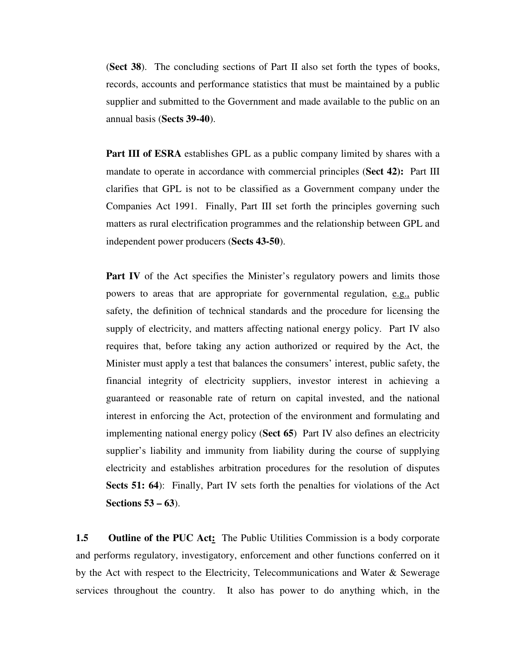(**Sect 38**). The concluding sections of Part II also set forth the types of books, records, accounts and performance statistics that must be maintained by a public supplier and submitted to the Government and made available to the public on an annual basis (**Sects 39-40**).

**Part III of ESRA** establishes GPL as a public company limited by shares with a mandate to operate in accordance with commercial principles (**Sect 42):** Part III clarifies that GPL is not to be classified as a Government company under the Companies Act 1991. Finally, Part III set forth the principles governing such matters as rural electrification programmes and the relationship between GPL and independent power producers (**Sects 43-50**).

**Part IV** of the Act specifies the Minister's regulatory powers and limits those powers to areas that are appropriate for governmental regulation, e.g., public safety, the definition of technical standards and the procedure for licensing the supply of electricity, and matters affecting national energy policy. Part IV also requires that, before taking any action authorized or required by the Act, the Minister must apply a test that balances the consumers' interest, public safety, the financial integrity of electricity suppliers, investor interest in achieving a guaranteed or reasonable rate of return on capital invested, and the national interest in enforcing the Act, protection of the environment and formulating and implementing national energy policy (**Sect 65**) Part IV also defines an electricity supplier's liability and immunity from liability during the course of supplying electricity and establishes arbitration procedures for the resolution of disputes **Sects 51: 64**): Finally, Part IV sets forth the penalties for violations of the Act **Sections 53 – 63**).

**1.5** Outline of the PUC Act: The Public Utilities Commission is a body corporate and performs regulatory, investigatory, enforcement and other functions conferred on it by the Act with respect to the Electricity, Telecommunications and Water & Sewerage services throughout the country. It also has power to do anything which, in the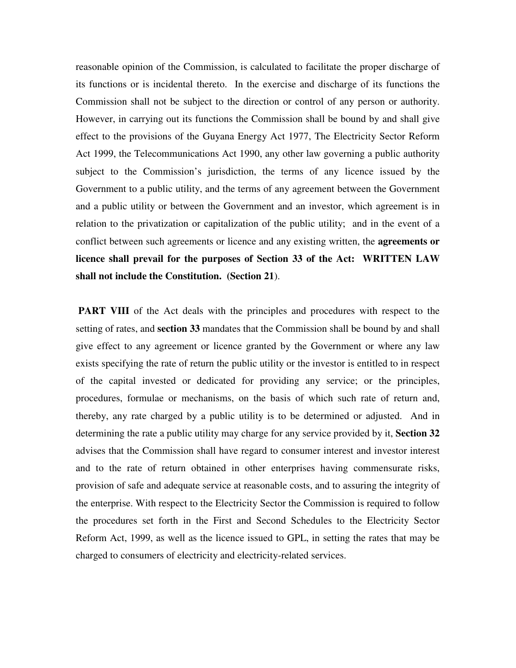reasonable opinion of the Commission, is calculated to facilitate the proper discharge of its functions or is incidental thereto. In the exercise and discharge of its functions the Commission shall not be subject to the direction or control of any person or authority. However, in carrying out its functions the Commission shall be bound by and shall give effect to the provisions of the Guyana Energy Act 1977, The Electricity Sector Reform Act 1999, the Telecommunications Act 1990, any other law governing a public authority subject to the Commission's jurisdiction, the terms of any licence issued by the Government to a public utility, and the terms of any agreement between the Government and a public utility or between the Government and an investor, which agreement is in relation to the privatization or capitalization of the public utility; and in the event of a conflict between such agreements or licence and any existing written, the **agreements or licence shall prevail for the purposes of Section 33 of the Act: WRITTEN LAW shall not include the Constitution. (Section 21**).

**PART VIII** of the Act deals with the principles and procedures with respect to the setting of rates, and **section 33** mandates that the Commission shall be bound by and shall give effect to any agreement or licence granted by the Government or where any law exists specifying the rate of return the public utility or the investor is entitled to in respect of the capital invested or dedicated for providing any service; or the principles, procedures, formulae or mechanisms, on the basis of which such rate of return and, thereby, any rate charged by a public utility is to be determined or adjusted. And in determining the rate a public utility may charge for any service provided by it, **Section 32** advises that the Commission shall have regard to consumer interest and investor interest and to the rate of return obtained in other enterprises having commensurate risks, provision of safe and adequate service at reasonable costs, and to assuring the integrity of the enterprise. With respect to the Electricity Sector the Commission is required to follow the procedures set forth in the First and Second Schedules to the Electricity Sector Reform Act, 1999, as well as the licence issued to GPL, in setting the rates that may be charged to consumers of electricity and electricity-related services.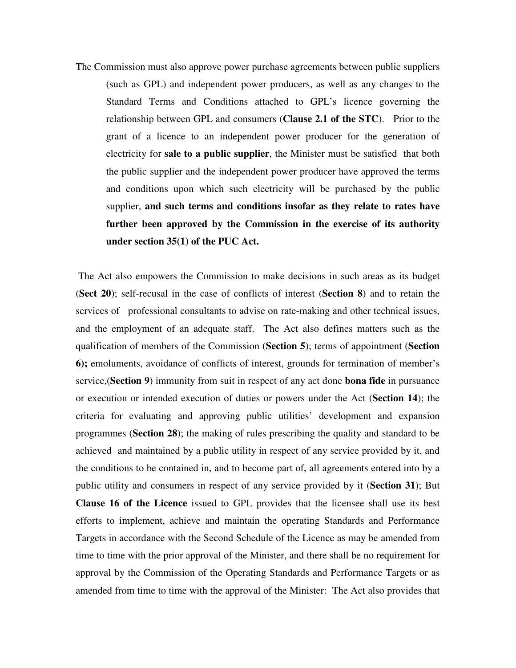The Commission must also approve power purchase agreements between public suppliers (such as GPL) and independent power producers, as well as any changes to the Standard Terms and Conditions attached to GPL's licence governing the relationship between GPL and consumers (**Clause 2.1 of the STC**). Prior to the grant of a licence to an independent power producer for the generation of electricity for **sale to a public supplier**, the Minister must be satisfied that both the public supplier and the independent power producer have approved the terms and conditions upon which such electricity will be purchased by the public supplier, **and such terms and conditions insofar as they relate to rates have further been approved by the Commission in the exercise of its authority under section 35(1) of the PUC Act.** 

 The Act also empowers the Commission to make decisions in such areas as its budget (**Sect 20**); self-recusal in the case of conflicts of interest (**Section 8**) and to retain the services of professional consultants to advise on rate-making and other technical issues, and the employment of an adequate staff. The Act also defines matters such as the qualification of members of the Commission (**Section 5**); terms of appointment (**Section 6);** emoluments, avoidance of conflicts of interest, grounds for termination of member's service,(**Section 9**) immunity from suit in respect of any act done **bona fide** in pursuance or execution or intended execution of duties or powers under the Act (**Section 14**); the criteria for evaluating and approving public utilities' development and expansion programmes (**Section 28**); the making of rules prescribing the quality and standard to be achieved and maintained by a public utility in respect of any service provided by it, and the conditions to be contained in, and to become part of, all agreements entered into by a public utility and consumers in respect of any service provided by it (**Section 31**); But **Clause 16 of the Licence** issued to GPL provides that the licensee shall use its best efforts to implement, achieve and maintain the operating Standards and Performance Targets in accordance with the Second Schedule of the Licence as may be amended from time to time with the prior approval of the Minister, and there shall be no requirement for approval by the Commission of the Operating Standards and Performance Targets or as amended from time to time with the approval of the Minister: The Act also provides that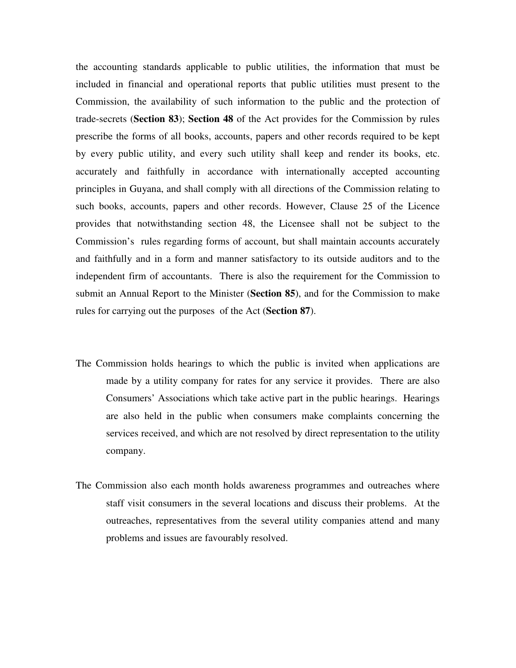the accounting standards applicable to public utilities, the information that must be included in financial and operational reports that public utilities must present to the Commission, the availability of such information to the public and the protection of trade-secrets (**Section 83**); **Section 48** of the Act provides for the Commission by rules prescribe the forms of all books, accounts, papers and other records required to be kept by every public utility, and every such utility shall keep and render its books, etc. accurately and faithfully in accordance with internationally accepted accounting principles in Guyana, and shall comply with all directions of the Commission relating to such books, accounts, papers and other records. However, Clause 25 of the Licence provides that notwithstanding section 48, the Licensee shall not be subject to the Commission's rules regarding forms of account, but shall maintain accounts accurately and faithfully and in a form and manner satisfactory to its outside auditors and to the independent firm of accountants. There is also the requirement for the Commission to submit an Annual Report to the Minister (**Section 85**), and for the Commission to make rules for carrying out the purposes of the Act (**Section 87**).

- The Commission holds hearings to which the public is invited when applications are made by a utility company for rates for any service it provides. There are also Consumers' Associations which take active part in the public hearings. Hearings are also held in the public when consumers make complaints concerning the services received, and which are not resolved by direct representation to the utility company.
- The Commission also each month holds awareness programmes and outreaches where staff visit consumers in the several locations and discuss their problems. At the outreaches, representatives from the several utility companies attend and many problems and issues are favourably resolved.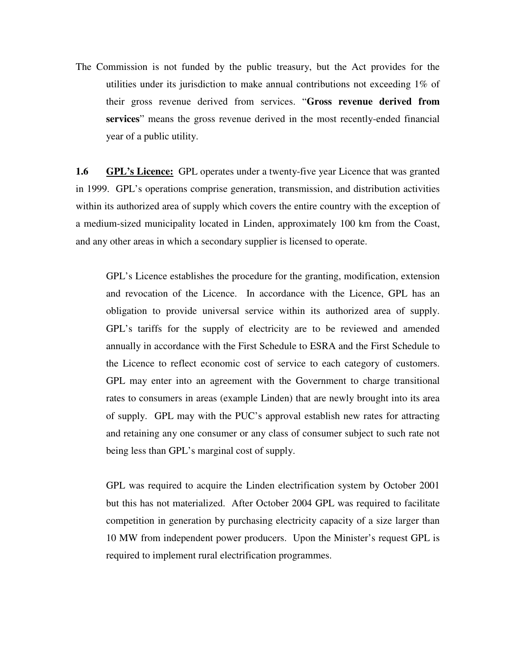The Commission is not funded by the public treasury, but the Act provides for the utilities under its jurisdiction to make annual contributions not exceeding 1% of their gross revenue derived from services. "**Gross revenue derived from services**" means the gross revenue derived in the most recently-ended financial year of a public utility.

**1.6 GPL's Licence:** GPL operates under a twenty-five year Licence that was granted in 1999. GPL's operations comprise generation, transmission, and distribution activities within its authorized area of supply which covers the entire country with the exception of a medium-sized municipality located in Linden, approximately 100 km from the Coast, and any other areas in which a secondary supplier is licensed to operate.

 GPL's Licence establishes the procedure for the granting, modification, extension and revocation of the Licence. In accordance with the Licence, GPL has an obligation to provide universal service within its authorized area of supply. GPL's tariffs for the supply of electricity are to be reviewed and amended annually in accordance with the First Schedule to ESRA and the First Schedule to the Licence to reflect economic cost of service to each category of customers. GPL may enter into an agreement with the Government to charge transitional rates to consumers in areas (example Linden) that are newly brought into its area of supply. GPL may with the PUC's approval establish new rates for attracting and retaining any one consumer or any class of consumer subject to such rate not being less than GPL's marginal cost of supply.

 GPL was required to acquire the Linden electrification system by October 2001 but this has not materialized. After October 2004 GPL was required to facilitate competition in generation by purchasing electricity capacity of a size larger than 10 MW from independent power producers. Upon the Minister's request GPL is required to implement rural electrification programmes.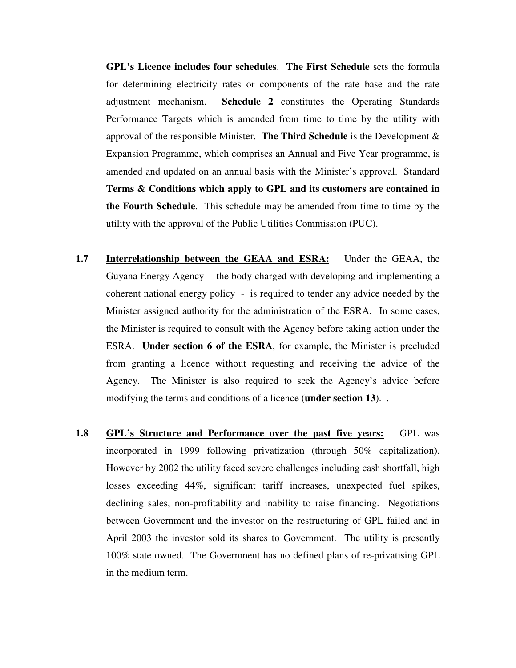**GPL's Licence includes four schedules**. **The First Schedule** sets the formula for determining electricity rates or components of the rate base and the rate adjustment mechanism. **Schedule 2** constitutes the Operating Standards Performance Targets which is amended from time to time by the utility with approval of the responsible Minister. **The Third Schedule** is the Development & Expansion Programme, which comprises an Annual and Five Year programme, is amended and updated on an annual basis with the Minister's approval. Standard **Terms & Conditions which apply to GPL and its customers are contained in the Fourth Schedule**. This schedule may be amended from time to time by the utility with the approval of the Public Utilities Commission (PUC).

- **1.7 Interrelationship between the GEAA and ESRA:** Under the GEAA, the Guyana Energy Agency - the body charged with developing and implementing a coherent national energy policy - is required to tender any advice needed by the Minister assigned authority for the administration of the ESRA. In some cases, the Minister is required to consult with the Agency before taking action under the ESRA. **Under section 6 of the ESRA**, for example, the Minister is precluded from granting a licence without requesting and receiving the advice of the Agency. The Minister is also required to seek the Agency's advice before modifying the terms and conditions of a licence (**under section 13**). .
- **1.8 GPL's Structure and Performance over the past five years:** GPL was incorporated in 1999 following privatization (through 50% capitalization). However by 2002 the utility faced severe challenges including cash shortfall, high losses exceeding 44%, significant tariff increases, unexpected fuel spikes, declining sales, non-profitability and inability to raise financing. Negotiations between Government and the investor on the restructuring of GPL failed and in April 2003 the investor sold its shares to Government. The utility is presently 100% state owned. The Government has no defined plans of re-privatising GPL in the medium term.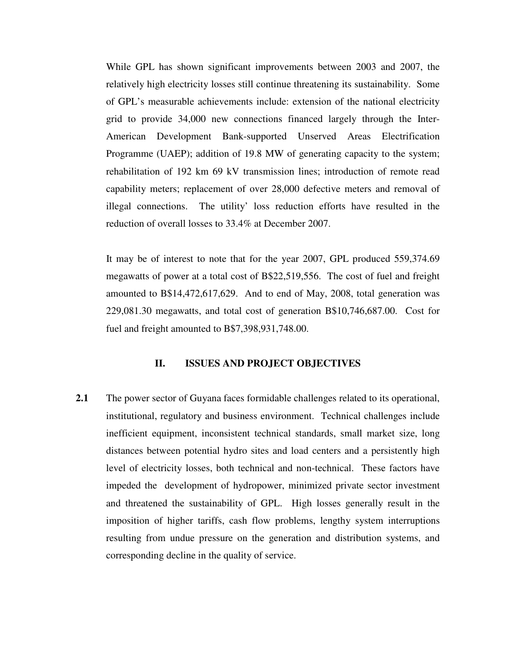While GPL has shown significant improvements between 2003 and 2007, the relatively high electricity losses still continue threatening its sustainability. Some of GPL's measurable achievements include: extension of the national electricity grid to provide 34,000 new connections financed largely through the Inter-American Development Bank-supported Unserved Areas Electrification Programme (UAEP); addition of 19.8 MW of generating capacity to the system; rehabilitation of 192 km 69 kV transmission lines; introduction of remote read capability meters; replacement of over 28,000 defective meters and removal of illegal connections. The utility' loss reduction efforts have resulted in the reduction of overall losses to 33.4% at December 2007.

 It may be of interest to note that for the year 2007, GPL produced 559,374.69 megawatts of power at a total cost of B\$22,519,556. The cost of fuel and freight amounted to B\$14,472,617,629. And to end of May, 2008, total generation was 229,081.30 megawatts, and total cost of generation B\$10,746,687.00. Cost for fuel and freight amounted to B\$7,398,931,748.00.

#### **II. ISSUES AND PROJECT OBJECTIVES**

**2.1** The power sector of Guyana faces formidable challenges related to its operational, institutional, regulatory and business environment. Technical challenges include inefficient equipment, inconsistent technical standards, small market size, long distances between potential hydro sites and load centers and a persistently high level of electricity losses, both technical and non-technical. These factors have impeded the development of hydropower, minimized private sector investment and threatened the sustainability of GPL. High losses generally result in the imposition of higher tariffs, cash flow problems, lengthy system interruptions resulting from undue pressure on the generation and distribution systems, and corresponding decline in the quality of service.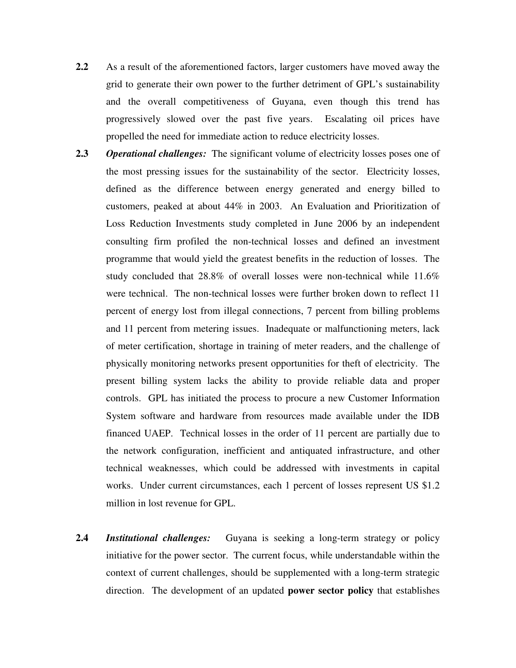- **2.2** As a result of the aforementioned factors, larger customers have moved away the grid to generate their own power to the further detriment of GPL's sustainability and the overall competitiveness of Guyana, even though this trend has progressively slowed over the past five years. Escalating oil prices have propelled the need for immediate action to reduce electricity losses.
- **2.3** *Operational challenges:* The significant volume of electricity losses poses one of the most pressing issues for the sustainability of the sector. Electricity losses, defined as the difference between energy generated and energy billed to customers, peaked at about 44% in 2003. An Evaluation and Prioritization of Loss Reduction Investments study completed in June 2006 by an independent consulting firm profiled the non-technical losses and defined an investment programme that would yield the greatest benefits in the reduction of losses. The study concluded that 28.8% of overall losses were non-technical while 11.6% were technical. The non-technical losses were further broken down to reflect 11 percent of energy lost from illegal connections, 7 percent from billing problems and 11 percent from metering issues. Inadequate or malfunctioning meters, lack of meter certification, shortage in training of meter readers, and the challenge of physically monitoring networks present opportunities for theft of electricity. The present billing system lacks the ability to provide reliable data and proper controls. GPL has initiated the process to procure a new Customer Information System software and hardware from resources made available under the IDB financed UAEP. Technical losses in the order of 11 percent are partially due to the network configuration, inefficient and antiquated infrastructure, and other technical weaknesses, which could be addressed with investments in capital works. Under current circumstances, each 1 percent of losses represent US \$1.2 million in lost revenue for GPL.
- **2.4** *Institutional challenges:* Guyana is seeking a long-term strategy or policy initiative for the power sector. The current focus, while understandable within the context of current challenges, should be supplemented with a long-term strategic direction. The development of an updated **power sector policy** that establishes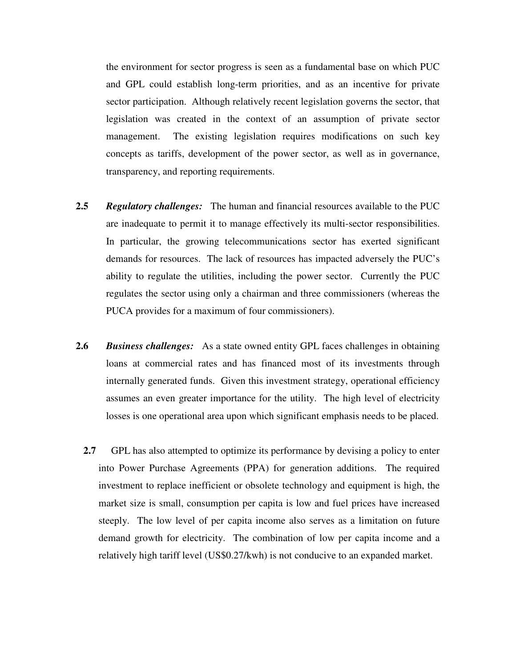the environment for sector progress is seen as a fundamental base on which PUC and GPL could establish long-term priorities, and as an incentive for private sector participation. Although relatively recent legislation governs the sector, that legislation was created in the context of an assumption of private sector management. The existing legislation requires modifications on such key concepts as tariffs, development of the power sector, as well as in governance, transparency, and reporting requirements.

- **2.5** *Regulatory challenges:* The human and financial resources available to the PUC are inadequate to permit it to manage effectively its multi-sector responsibilities. In particular, the growing telecommunications sector has exerted significant demands for resources. The lack of resources has impacted adversely the PUC's ability to regulate the utilities, including the power sector. Currently the PUC regulates the sector using only a chairman and three commissioners (whereas the PUCA provides for a maximum of four commissioners).
- **2.6** *Business challenges:* As a state owned entity GPL faces challenges in obtaining loans at commercial rates and has financed most of its investments through internally generated funds. Given this investment strategy, operational efficiency assumes an even greater importance for the utility. The high level of electricity losses is one operational area upon which significant emphasis needs to be placed.
	- **2.7** GPL has also attempted to optimize its performance by devising a policy to enter into Power Purchase Agreements (PPA) for generation additions. The required investment to replace inefficient or obsolete technology and equipment is high, the market size is small, consumption per capita is low and fuel prices have increased steeply. The low level of per capita income also serves as a limitation on future demand growth for electricity. The combination of low per capita income and a relatively high tariff level (US\$0.27/kwh) is not conducive to an expanded market.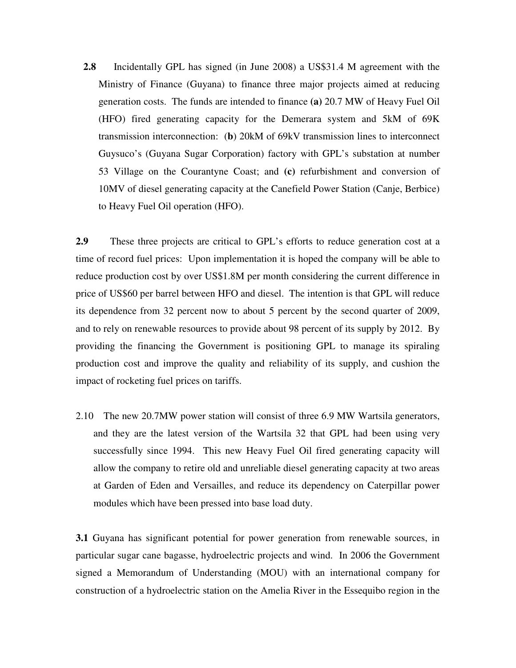**2.8** Incidentally GPL has signed (in June 2008) a US\$31.4 M agreement with the Ministry of Finance (Guyana) to finance three major projects aimed at reducing generation costs. The funds are intended to finance **(a)** 20.7 MW of Heavy Fuel Oil (HFO) fired generating capacity for the Demerara system and 5kM of 69K transmission interconnection: (**b**) 20kM of 69kV transmission lines to interconnect Guysuco's (Guyana Sugar Corporation) factory with GPL's substation at number 53 Village on the Courantyne Coast; and **(c)** refurbishment and conversion of 10MV of diesel generating capacity at the Canefield Power Station (Canje, Berbice) to Heavy Fuel Oil operation (HFO).

**2.9** These three projects are critical to GPL's efforts to reduce generation cost at a time of record fuel prices: Upon implementation it is hoped the company will be able to reduce production cost by over US\$1.8M per month considering the current difference in price of US\$60 per barrel between HFO and diesel. The intention is that GPL will reduce its dependence from 32 percent now to about 5 percent by the second quarter of 2009, and to rely on renewable resources to provide about 98 percent of its supply by 2012. By providing the financing the Government is positioning GPL to manage its spiraling production cost and improve the quality and reliability of its supply, and cushion the impact of rocketing fuel prices on tariffs.

2.10 The new 20.7MW power station will consist of three 6.9 MW Wartsila generators, and they are the latest version of the Wartsila 32 that GPL had been using very successfully since 1994. This new Heavy Fuel Oil fired generating capacity will allow the company to retire old and unreliable diesel generating capacity at two areas at Garden of Eden and Versailles, and reduce its dependency on Caterpillar power modules which have been pressed into base load duty.

**3.1** Guyana has significant potential for power generation from renewable sources, in particular sugar cane bagasse, hydroelectric projects and wind. In 2006 the Government signed a Memorandum of Understanding (MOU) with an international company for construction of a hydroelectric station on the Amelia River in the Essequibo region in the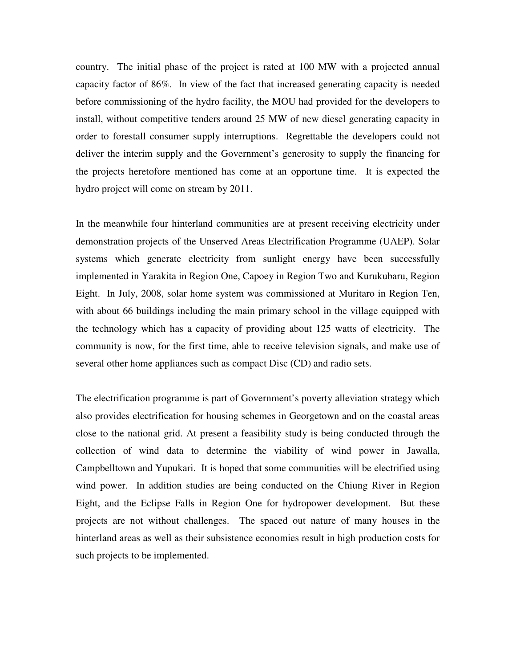country. The initial phase of the project is rated at 100 MW with a projected annual capacity factor of 86%. In view of the fact that increased generating capacity is needed before commissioning of the hydro facility, the MOU had provided for the developers to install, without competitive tenders around 25 MW of new diesel generating capacity in order to forestall consumer supply interruptions. Regrettable the developers could not deliver the interim supply and the Government's generosity to supply the financing for the projects heretofore mentioned has come at an opportune time. It is expected the hydro project will come on stream by 2011.

In the meanwhile four hinterland communities are at present receiving electricity under demonstration projects of the Unserved Areas Electrification Programme (UAEP). Solar systems which generate electricity from sunlight energy have been successfully implemented in Yarakita in Region One, Capoey in Region Two and Kurukubaru, Region Eight. In July, 2008, solar home system was commissioned at Muritaro in Region Ten, with about 66 buildings including the main primary school in the village equipped with the technology which has a capacity of providing about 125 watts of electricity. The community is now, for the first time, able to receive television signals, and make use of several other home appliances such as compact Disc (CD) and radio sets.

The electrification programme is part of Government's poverty alleviation strategy which also provides electrification for housing schemes in Georgetown and on the coastal areas close to the national grid. At present a feasibility study is being conducted through the collection of wind data to determine the viability of wind power in Jawalla, Campbelltown and Yupukari. It is hoped that some communities will be electrified using wind power. In addition studies are being conducted on the Chiung River in Region Eight, and the Eclipse Falls in Region One for hydropower development. But these projects are not without challenges. The spaced out nature of many houses in the hinterland areas as well as their subsistence economies result in high production costs for such projects to be implemented.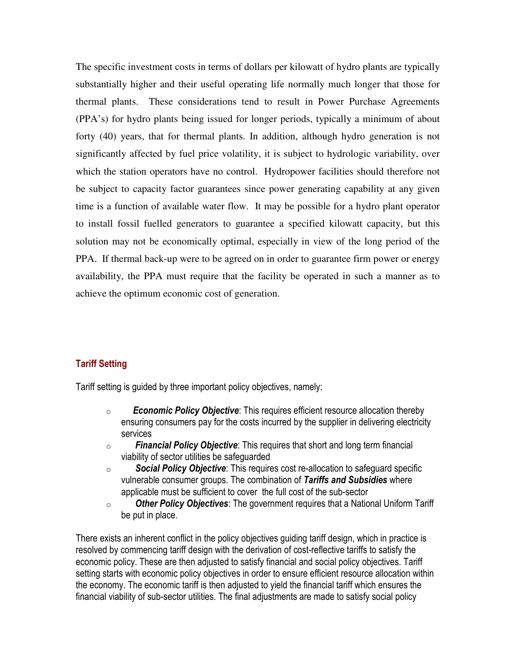The specific investment costs in terms of dollars per kilowatt of hydro plants are typically substantially higher and their useful operating life normally much longer that those for thermal plants. These considerations tend to result in Power Purchase Agreements (PPA's) for hydro plants being issued for longer periods, typically a minimum of about forty (40) years, that for thermal plants. In addition, although hydro generation is not significantly affected by fuel price volatility, it is subject to hydrologic variability, over which the station operators have no control. Hydropower facilities should therefore not be subject to capacity factor guarantees since power generating capability at any given time is a function of available water flow. It may be possible for a hydro plant operator to install fossil fuelled generators to guarantee a specified kilowatt capacity, but this solution may not be economically optimal, especially in view of the long period of the PPA. If thermal back-up were to be agreed on in order to guarantee firm power or energy availability, the PPA must require that the facility be operated in such a manner as to achieve the optimum economic cost of generation.

# Tariff Setting

Tariff setting is guided by three important policy objectives, namely:

- $\circ$  Economic Policy Objective: This requires efficient resource allocation thereby ensuring consumers pay for the costs incurred by the supplier in delivering electricity services
- $\circ$  Financial Policy Objective: This requires that short and long term financial viability of sector utilities be safeguarded
- o Social Policy Objective: This requires cost re-allocation to safeguard specific vulnerable consumer groups. The combination of Tariffs and Subsidies where applicable must be sufficient to cover the full cost of the sub-sector
- $\circ$  Other Policy Objectives: The government requires that a National Uniform Tariff be put in place.

There exists an inherent conflict in the policy objectives guiding tariff design, which in practice is resolved by commencing tariff design with the derivation of cost-reflective tariffs to satisfy the economic policy. These are then adjusted to satisfy financial and social policy objectives. Tariff setting starts with economic policy objectives in order to ensure efficient resource allocation within the economy. The economic tariff is then adjusted to yield the financial tariff which ensures the financial viability of sub-sector utilities. The final adjustments are made to satisfy social policy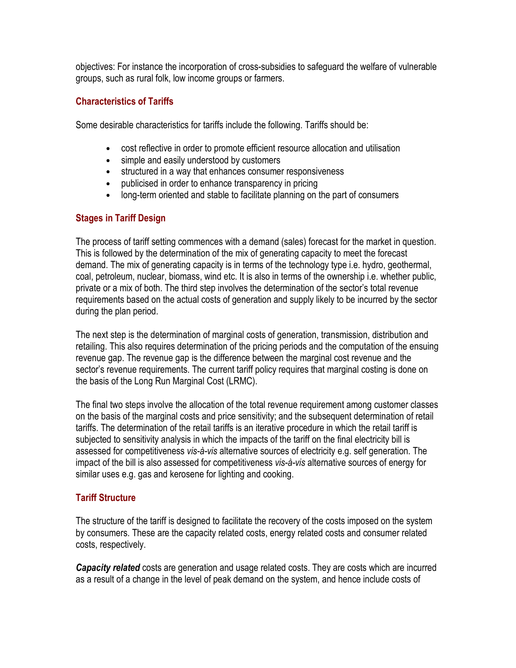objectives: For instance the incorporation of cross-subsidies to safeguard the welfare of vulnerable groups, such as rural folk, low income groups or farmers.

### Characteristics of Tariffs

Some desirable characteristics for tariffs include the following. Tariffs should be:

- cost reflective in order to promote efficient resource allocation and utilisation
- simple and easily understood by customers
- structured in a way that enhances consumer responsiveness
- publicised in order to enhance transparency in pricing
- long-term oriented and stable to facilitate planning on the part of consumers

# Stages in Tariff Design

The process of tariff setting commences with a demand (sales) forecast for the market in question. This is followed by the determination of the mix of generating capacity to meet the forecast demand. The mix of generating capacity is in terms of the technology type i.e. hydro, geothermal, coal, petroleum, nuclear, biomass, wind etc. It is also in terms of the ownership i.e. whether public, private or a mix of both. The third step involves the determination of the sector's total revenue requirements based on the actual costs of generation and supply likely to be incurred by the sector during the plan period.

The next step is the determination of marginal costs of generation, transmission, distribution and retailing. This also requires determination of the pricing periods and the computation of the ensuing revenue gap. The revenue gap is the difference between the marginal cost revenue and the sector's revenue requirements. The current tariff policy requires that marginal costing is done on the basis of the Long Run Marginal Cost (LRMC).

The final two steps involve the allocation of the total revenue requirement among customer classes on the basis of the marginal costs and price sensitivity; and the subsequent determination of retail tariffs. The determination of the retail tariffs is an iterative procedure in which the retail tariff is subjected to sensitivity analysis in which the impacts of the tariff on the final electricity bill is assessed for competitiveness vis-à-vis alternative sources of electricity e.g. self generation. The impact of the bill is also assessed for competitiveness vis-à-vis alternative sources of energy for similar uses e.g. gas and kerosene for lighting and cooking.

# Tariff Structure

The structure of the tariff is designed to facilitate the recovery of the costs imposed on the system by consumers. These are the capacity related costs, energy related costs and consumer related costs, respectively.

**Capacity related** costs are generation and usage related costs. They are costs which are incurred as a result of a change in the level of peak demand on the system, and hence include costs of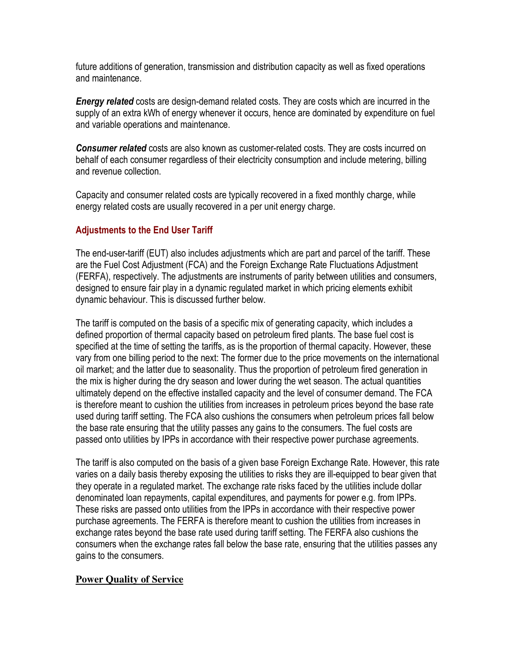future additions of generation, transmission and distribution capacity as well as fixed operations and maintenance.

**Energy related** costs are design-demand related costs. They are costs which are incurred in the supply of an extra kWh of energy whenever it occurs, hence are dominated by expenditure on fuel and variable operations and maintenance.

Consumer related costs are also known as customer-related costs. They are costs incurred on behalf of each consumer regardless of their electricity consumption and include metering, billing and revenue collection.

Capacity and consumer related costs are typically recovered in a fixed monthly charge, while energy related costs are usually recovered in a per unit energy charge.

# Adjustments to the End User Tariff

The end-user-tariff (EUT) also includes adjustments which are part and parcel of the tariff. These are the Fuel Cost Adjustment (FCA) and the Foreign Exchange Rate Fluctuations Adjustment (FERFA), respectively. The adjustments are instruments of parity between utilities and consumers, designed to ensure fair play in a dynamic regulated market in which pricing elements exhibit dynamic behaviour. This is discussed further below.

The tariff is computed on the basis of a specific mix of generating capacity, which includes a defined proportion of thermal capacity based on petroleum fired plants. The base fuel cost is specified at the time of setting the tariffs, as is the proportion of thermal capacity. However, these vary from one billing period to the next: The former due to the price movements on the international oil market; and the latter due to seasonality. Thus the proportion of petroleum fired generation in the mix is higher during the dry season and lower during the wet season. The actual quantities ultimately depend on the effective installed capacity and the level of consumer demand. The FCA is therefore meant to cushion the utilities from increases in petroleum prices beyond the base rate used during tariff setting. The FCA also cushions the consumers when petroleum prices fall below the base rate ensuring that the utility passes any gains to the consumers. The fuel costs are passed onto utilities by IPPs in accordance with their respective power purchase agreements.

The tariff is also computed on the basis of a given base Foreign Exchange Rate. However, this rate varies on a daily basis thereby exposing the utilities to risks they are ill-equipped to bear given that they operate in a regulated market. The exchange rate risks faced by the utilities include dollar denominated loan repayments, capital expenditures, and payments for power e.g. from IPPs. These risks are passed onto utilities from the IPPs in accordance with their respective power purchase agreements. The FERFA is therefore meant to cushion the utilities from increases in exchange rates beyond the base rate used during tariff setting. The FERFA also cushions the consumers when the exchange rates fall below the base rate, ensuring that the utilities passes any gains to the consumers.

# **Power Quality of Service**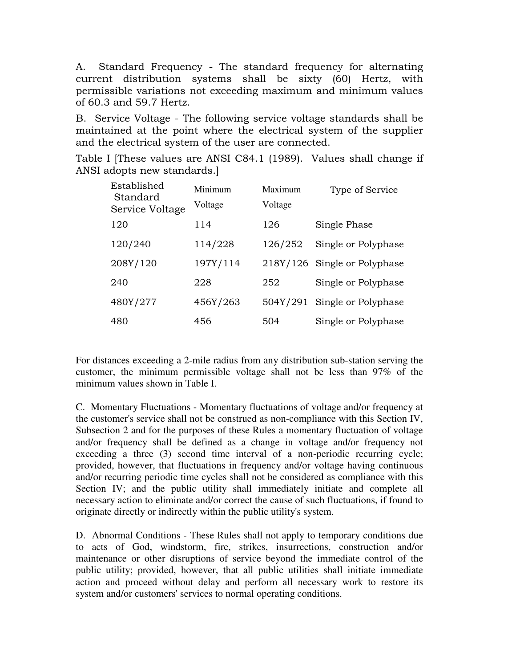A. Standard Frequency - The standard frequency for alternating current distribution systems shall be sixty (60) Hertz, with permissible variations not exceeding maximum and minimum values of 60.3 and 59.7 Hertz.

B. Service Voltage - The following service voltage standards shall be maintained at the point where the electrical system of the supplier and the electrical system of the user are connected.

Table I [These values are ANSI C84.1 (1989). Values shall change if ANSI adopts new standards.]

| Established<br>Standard<br>Service Voltage | Minimum<br>Voltage | Maximum<br>Voltage | Type of Service              |
|--------------------------------------------|--------------------|--------------------|------------------------------|
| 120                                        | 114                | 126                | Single Phase                 |
| 120/240                                    | 114/228            | 126/252            | Single or Polyphase          |
| 208Y/120                                   | 197Y/114           |                    | 218Y/126 Single or Polyphase |
| 240                                        | 228                | 252                | Single or Polyphase          |
| 480Y/277                                   | 456Y/263           | 504Y/291           | Single or Polyphase          |
| 480                                        | 456                | 504                | Single or Polyphase          |

For distances exceeding a 2-mile radius from any distribution sub-station serving the customer, the minimum permissible voltage shall not be less than 97% of the minimum values shown in Table I.

C. Momentary Fluctuations - Momentary fluctuations of voltage and/or frequency at the customer's service shall not be construed as non-compliance with this Section IV, Subsection 2 and for the purposes of these Rules a momentary fluctuation of voltage and/or frequency shall be defined as a change in voltage and/or frequency not exceeding a three (3) second time interval of a non-periodic recurring cycle; provided, however, that fluctuations in frequency and/or voltage having continuous and/or recurring periodic time cycles shall not be considered as compliance with this Section IV; and the public utility shall immediately initiate and complete all necessary action to eliminate and/or correct the cause of such fluctuations, if found to originate directly or indirectly within the public utility's system.

D. Abnormal Conditions - These Rules shall not apply to temporary conditions due to acts of God, windstorm, fire, strikes, insurrections, construction and/or maintenance or other disruptions of service beyond the immediate control of the public utility; provided, however, that all public utilities shall initiate immediate action and proceed without delay and perform all necessary work to restore its system and/or customers' services to normal operating conditions.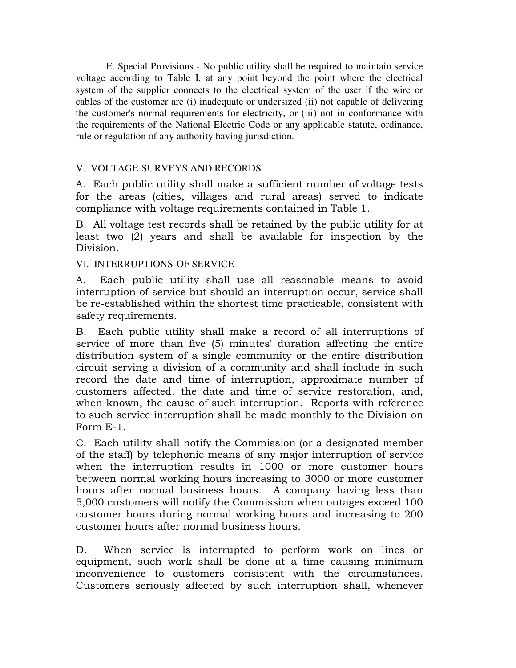E. Special Provisions - No public utility shall be required to maintain service voltage according to Table I, at any point beyond the point where the electrical system of the supplier connects to the electrical system of the user if the wire or cables of the customer are (i) inadequate or undersized (ii) not capable of delivering the customer's normal requirements for electricity, or (iii) not in conformance with the requirements of the National Electric Code or any applicable statute, ordinance, rule or regulation of any authority having jurisdiction.

# V. VOLTAGE SURVEYS AND RECORDS

A. Each public utility shall make a sufficient number of voltage tests for the areas (cities, villages and rural areas) served to indicate compliance with voltage requirements contained in Table 1.

B. All voltage test records shall be retained by the public utility for at least two (2) years and shall be available for inspection by the Division.

### VI. INTERRUPTIONS OF SERVICE

A. Each public utility shall use all reasonable means to avoid interruption of service but should an interruption occur, service shall be re-established within the shortest time practicable, consistent with safety requirements.

B. Each public utility shall make a record of all interruptions of service of more than five (5) minutes' duration affecting the entire distribution system of a single community or the entire distribution circuit serving a division of a community and shall include in such record the date and time of interruption, approximate number of customers affected, the date and time of service restoration, and, when known, the cause of such interruption. Reports with reference to such service interruption shall be made monthly to the Division on Form E-1.

C. Each utility shall notify the Commission (or a designated member of the staff) by telephonic means of any major interruption of service when the interruption results in 1000 or more customer hours between normal working hours increasing to 3000 or more customer hours after normal business hours. A company having less than 5,000 customers will notify the Commission when outages exceed 100 customer hours during normal working hours and increasing to 200 customer hours after normal business hours.

D. When service is interrupted to perform work on lines or equipment, such work shall be done at a time causing minimum inconvenience to customers consistent with the circumstances. Customers seriously affected by such interruption shall, whenever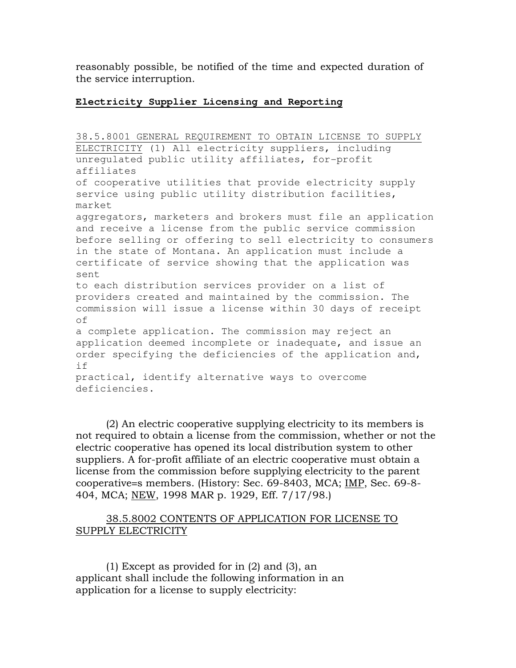reasonably possible, be notified of the time and expected duration of the service interruption.

#### **Electricity Supplier Licensing and Reporting**

38.5.8001 GENERAL REQUIREMENT TO OBTAIN LICENSE TO SUPPLY ELECTRICITY (1) All electricity suppliers, including unregulated public utility affiliates, for-profit affiliates of cooperative utilities that provide electricity supply service using public utility distribution facilities, market aggregators, marketers and brokers must file an application and receive a license from the public service commission before selling or offering to sell electricity to consumers in the state of Montana. An application must include a certificate of service showing that the application was sent to each distribution services provider on a list of providers created and maintained by the commission. The commission will issue a license within 30 days of receipt of a complete application. The commission may reject an application deemed incomplete or inadequate, and issue an order specifying the deficiencies of the application and, if practical, identify alternative ways to overcome deficiencies.

(2) An electric cooperative supplying electricity to its members is not required to obtain a license from the commission, whether or not the electric cooperative has opened its local distribution system to other suppliers. A for-profit affiliate of an electric cooperative must obtain a license from the commission before supplying electricity to the parent cooperative=s members. (History: Sec. 69-8403, MCA; IMP, Sec. 69-8- 404, MCA; NEW, 1998 MAR p. 1929, Eff. 7/17/98.)

### 38.5.8002 CONTENTS OF APPLICATION FOR LICENSE TO SUPPLY ELECTRICITY

(1) Except as provided for in (2) and (3), an applicant shall include the following information in an application for a license to supply electricity: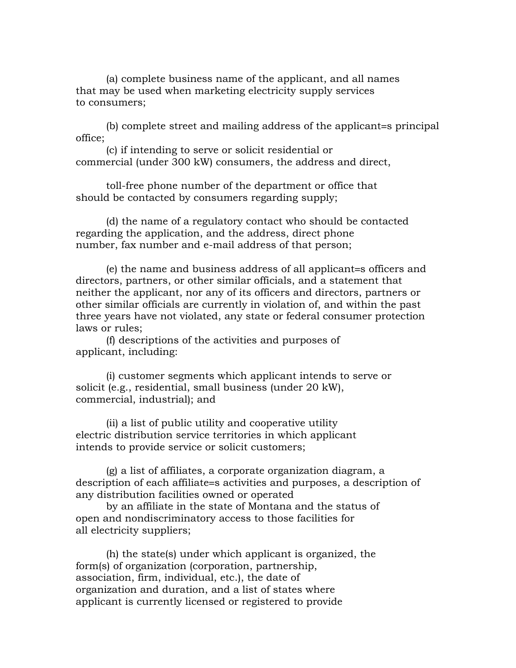(a) complete business name of the applicant, and all names that may be used when marketing electricity supply services to consumers;

(b) complete street and mailing address of the applicant=s principal office;

(c) if intending to serve or solicit residential or commercial (under 300 kW) consumers, the address and direct,

toll-free phone number of the department or office that should be contacted by consumers regarding supply;

(d) the name of a regulatory contact who should be contacted regarding the application, and the address, direct phone number, fax number and e-mail address of that person;

(e) the name and business address of all applicant=s officers and directors, partners, or other similar officials, and a statement that neither the applicant, nor any of its officers and directors, partners or other similar officials are currently in violation of, and within the past three years have not violated, any state or federal consumer protection laws or rules;

(f) descriptions of the activities and purposes of applicant, including:

(i) customer segments which applicant intends to serve or solicit (e.g., residential, small business (under 20 kW), commercial, industrial); and

(ii) a list of public utility and cooperative utility electric distribution service territories in which applicant intends to provide service or solicit customers;

(g) a list of affiliates, a corporate organization diagram, a description of each affiliate=s activities and purposes, a description of any distribution facilities owned or operated

by an affiliate in the state of Montana and the status of open and nondiscriminatory access to those facilities for all electricity suppliers;

(h) the state(s) under which applicant is organized, the form(s) of organization (corporation, partnership, association, firm, individual, etc.), the date of organization and duration, and a list of states where applicant is currently licensed or registered to provide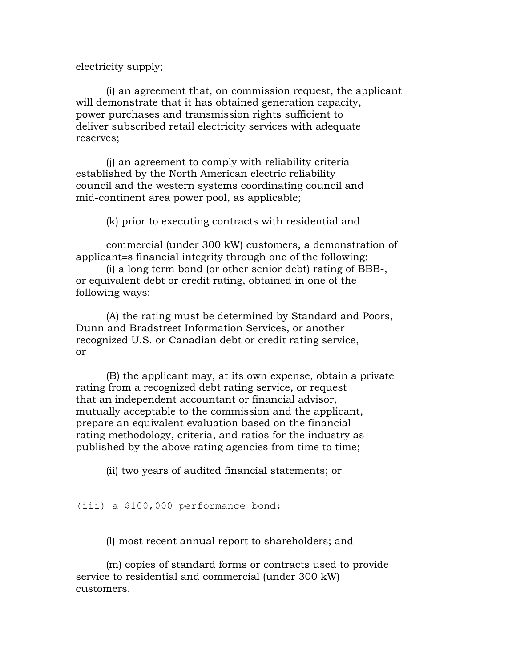electricity supply;

(i) an agreement that, on commission request, the applicant will demonstrate that it has obtained generation capacity, power purchases and transmission rights sufficient to deliver subscribed retail electricity services with adequate reserves;

(j) an agreement to comply with reliability criteria established by the North American electric reliability council and the western systems coordinating council and mid-continent area power pool, as applicable;

(k) prior to executing contracts with residential and

commercial (under 300 kW) customers, a demonstration of applicant=s financial integrity through one of the following:

(i) a long term bond (or other senior debt) rating of BBB-, or equivalent debt or credit rating, obtained in one of the following ways:

(A) the rating must be determined by Standard and Poors, Dunn and Bradstreet Information Services, or another recognized U.S. or Canadian debt or credit rating service, or

(B) the applicant may, at its own expense, obtain a private rating from a recognized debt rating service, or request that an independent accountant or financial advisor, mutually acceptable to the commission and the applicant, prepare an equivalent evaluation based on the financial rating methodology, criteria, and ratios for the industry as published by the above rating agencies from time to time;

(ii) two years of audited financial statements; or

#### (iii) a \$100,000 performance bond;

(l) most recent annual report to shareholders; and

(m) copies of standard forms or contracts used to provide service to residential and commercial (under 300 kW) customers.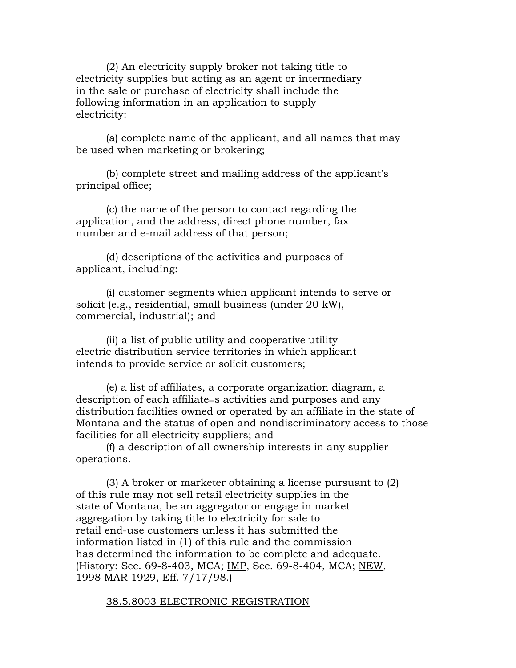(2) An electricity supply broker not taking title to electricity supplies but acting as an agent or intermediary in the sale or purchase of electricity shall include the following information in an application to supply electricity:

(a) complete name of the applicant, and all names that may be used when marketing or brokering;

(b) complete street and mailing address of the applicant's principal office;

(c) the name of the person to contact regarding the application, and the address, direct phone number, fax number and e-mail address of that person;

(d) descriptions of the activities and purposes of applicant, including:

(i) customer segments which applicant intends to serve or solicit (e.g., residential, small business (under 20 kW), commercial, industrial); and

(ii) a list of public utility and cooperative utility electric distribution service territories in which applicant intends to provide service or solicit customers;

(e) a list of affiliates, a corporate organization diagram, a description of each affiliate=s activities and purposes and any distribution facilities owned or operated by an affiliate in the state of Montana and the status of open and nondiscriminatory access to those facilities for all electricity suppliers; and

(f) a description of all ownership interests in any supplier operations.

(3) A broker or marketer obtaining a license pursuant to (2) of this rule may not sell retail electricity supplies in the state of Montana, be an aggregator or engage in market aggregation by taking title to electricity for sale to retail end-use customers unless it has submitted the information listed in (1) of this rule and the commission has determined the information to be complete and adequate. (History: Sec. 69-8-403, MCA; IMP, Sec. 69-8-404, MCA; NEW, 1998 MAR 1929, Eff. 7/17/98.)

#### 38.5.8003 ELECTRONIC REGISTRATION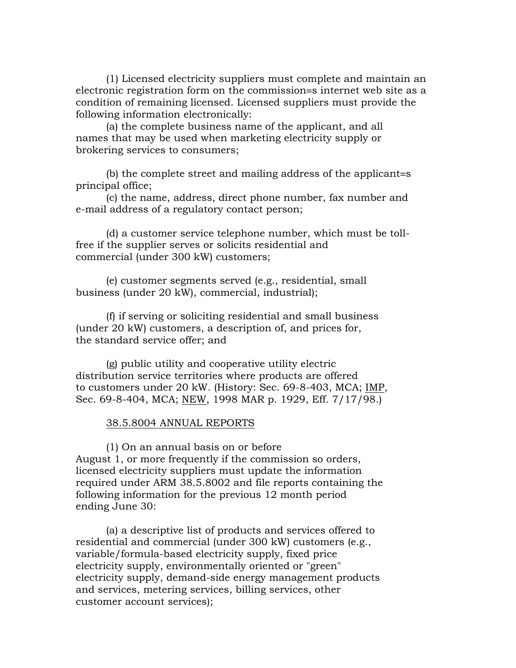(1) Licensed electricity suppliers must complete and maintain an electronic registration form on the commission=s internet web site as a condition of remaining licensed. Licensed suppliers must provide the following information electronically:

(a) the complete business name of the applicant, and all names that may be used when marketing electricity supply or brokering services to consumers;

(b) the complete street and mailing address of the applicant=s principal office;

(c) the name, address, direct phone number, fax number and e-mail address of a regulatory contact person;

(d) a customer service telephone number, which must be tollfree if the supplier serves or solicits residential and commercial (under 300 kW) customers;

(e) customer segments served (e.g., residential, small business (under 20 kW), commercial, industrial);

(f) if serving or soliciting residential and small business (under 20 kW) customers, a description of, and prices for, the standard service offer; and

(g) public utility and cooperative utility electric distribution service territories where products are offered to customers under 20 kW. (History: Sec. 69-8-403, MCA; IMP, Sec. 69-8-404, MCA; NEW, 1998 MAR p. 1929, Eff. 7/17/98.)

#### 38.5.8004 ANNUAL REPORTS

(1) On an annual basis on or before August 1, or more frequently if the commission so orders, licensed electricity suppliers must update the information required under ARM 38.5.8002 and file reports containing the following information for the previous 12 month period ending June 30:

(a) a descriptive list of products and services offered to residential and commercial (under 300 kW) customers (e.g., variable/formula-based electricity supply, fixed price electricity supply, environmentally oriented or "green" electricity supply, demand-side energy management products and services, metering services, billing services, other customer account services);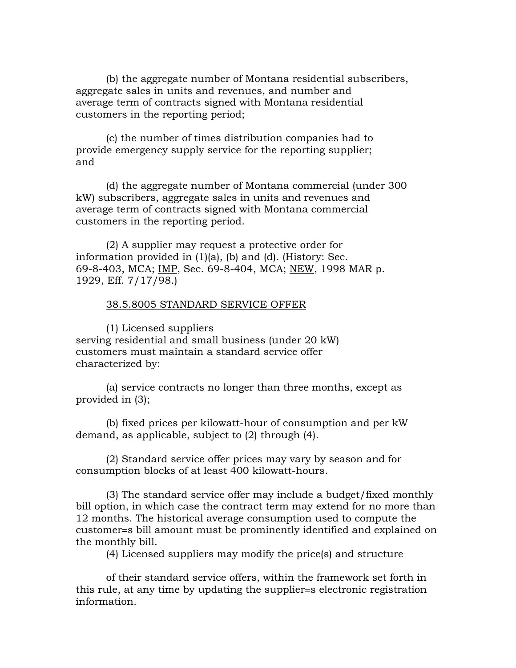(b) the aggregate number of Montana residential subscribers, aggregate sales in units and revenues, and number and average term of contracts signed with Montana residential customers in the reporting period;

(c) the number of times distribution companies had to provide emergency supply service for the reporting supplier; and

(d) the aggregate number of Montana commercial (under 300 kW) subscribers, aggregate sales in units and revenues and average term of contracts signed with Montana commercial customers in the reporting period.

(2) A supplier may request a protective order for information provided in (1)(a), (b) and (d). (History: Sec. 69-8-403, MCA; IMP, Sec. 69-8-404, MCA; NEW, 1998 MAR p. 1929, Eff. 7/17/98.)

#### 38.5.8005 STANDARD SERVICE OFFER

(1) Licensed suppliers serving residential and small business (under 20 kW) customers must maintain a standard service offer characterized by:

(a) service contracts no longer than three months, except as provided in (3);

(b) fixed prices per kilowatt-hour of consumption and per kW demand, as applicable, subject to (2) through (4).

(2) Standard service offer prices may vary by season and for consumption blocks of at least 400 kilowatt-hours.

(3) The standard service offer may include a budget/fixed monthly bill option, in which case the contract term may extend for no more than 12 months. The historical average consumption used to compute the customer=s bill amount must be prominently identified and explained on the monthly bill.

(4) Licensed suppliers may modify the price(s) and structure

of their standard service offers, within the framework set forth in this rule, at any time by updating the supplier=s electronic registration information.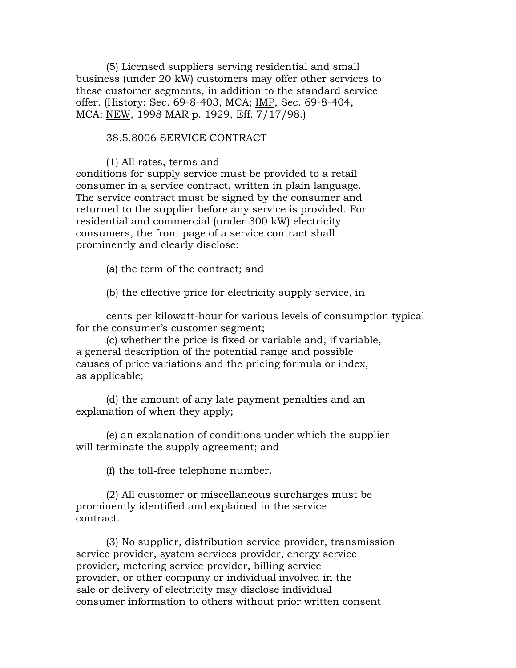(5) Licensed suppliers serving residential and small business (under 20 kW) customers may offer other services to these customer segments, in addition to the standard service offer. (History: Sec. 69-8-403, MCA; IMP, Sec. 69-8-404, MCA; NEW, 1998 MAR p. 1929, Eff. 7/17/98.)

#### 38.5.8006 SERVICE CONTRACT

(1) All rates, terms and conditions for supply service must be provided to a retail consumer in a service contract, written in plain language. The service contract must be signed by the consumer and returned to the supplier before any service is provided. For residential and commercial (under 300 kW) electricity consumers, the front page of a service contract shall prominently and clearly disclose:

(a) the term of the contract; and

(b) the effective price for electricity supply service, in

cents per kilowatt-hour for various levels of consumption typical for the consumer's customer segment;

(c) whether the price is fixed or variable and, if variable, a general description of the potential range and possible causes of price variations and the pricing formula or index, as applicable;

(d) the amount of any late payment penalties and an explanation of when they apply;

(e) an explanation of conditions under which the supplier will terminate the supply agreement; and

(f) the toll-free telephone number.

(2) All customer or miscellaneous surcharges must be prominently identified and explained in the service contract.

(3) No supplier, distribution service provider, transmission service provider, system services provider, energy service provider, metering service provider, billing service provider, or other company or individual involved in the sale or delivery of electricity may disclose individual consumer information to others without prior written consent